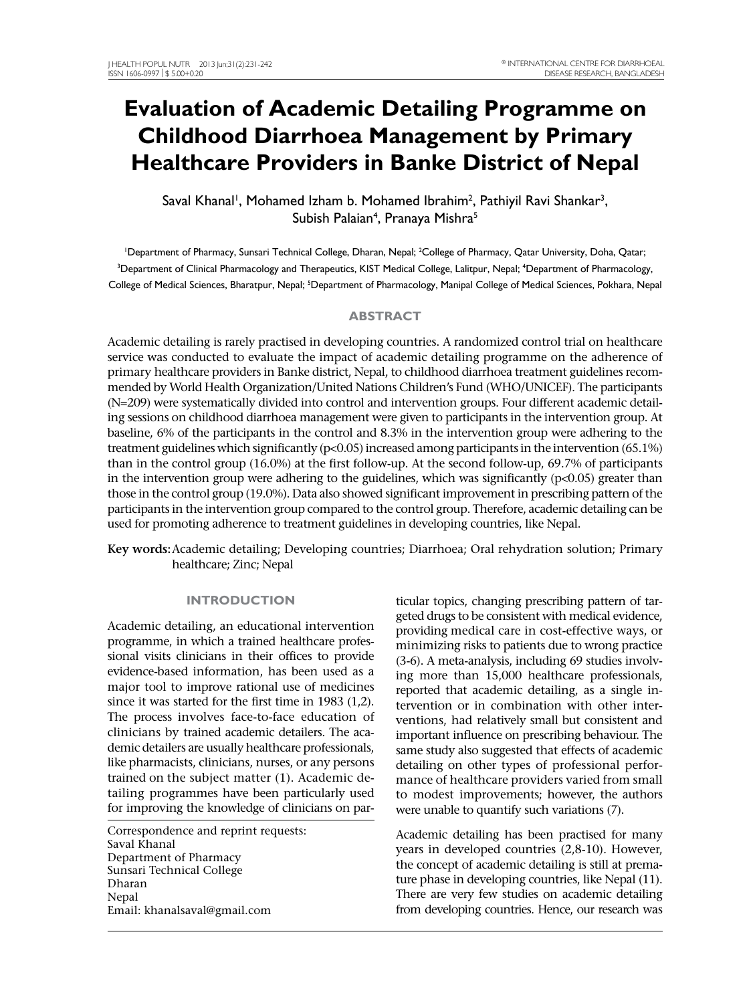# **Evaluation of Academic Detailing Programme on Childhood Diarrhoea Management by Primary Healthcare Providers in Banke District of Nepal**

# Saval Khanal<sup>ı</sup>, Mohamed Izham b. Mohamed Ibrahim<sup>2</sup>, Pathiyil Ravi Shankar<sup>3</sup>, Subish Palaian<sup>4</sup>, Pranaya Mishra<sup>5</sup>

<sup>1</sup>Department of Pharmacy, Sunsari Technical College, Dharan, Nepal; <sup>2</sup>College of Pharmacy, Qatar University, Doha, Qatar; <sup>3</sup>Department of Clinical Pharmacology and Therapeutics, KIST Medical College, Lalitpur, Nepal; <sup>4</sup>Department of Pharmacology, College of Medical Sciences, Bharatpur, Nepal; <sup>5</sup>Department of Pharmacology, Manipal College of Medical Sciences, Pokhara, Nepal

# **ABSTRACT**

Academic detailing is rarely practised in developing countries. A randomized control trial on healthcare service was conducted to evaluate the impact of academic detailing programme on the adherence of primary healthcare providers in Banke district, Nepal, to childhood diarrhoea treatment guidelines recommended by World Health Organization/United Nations Children's Fund (WHO/UNICEF). The participants (N=209) were systematically divided into control and intervention groups. Four different academic detailing sessions on childhood diarrhoea management were given to participants in the intervention group. At baseline, 6% of the participants in the control and 8.3% in the intervention group were adhering to the treatment guidelines which significantly ( $p<0.05$ ) increased among participants in the intervention (65.1%) than in the control group (16.0%) at the first follow-up. At the second follow-up, 69.7% of participants in the intervention group were adhering to the guidelines, which was significantly  $(p<0.05)$  greater than those in the control group (19.0%). Data also showed significant improvement in prescribing pattern of the participants in the intervention group compared to the control group. Therefore, academic detailing can be used for promoting adherence to treatment guidelines in developing countries, like Nepal.

**Key words:** Academic detailing; Developing countries; Diarrhoea; Oral rehydration solution; Primary healthcare; Zinc; Nepal

#### **INTRODUCTION**

Academic detailing, an educational intervention programme, in which a trained healthcare professional visits clinicians in their offices to provide evidence-based information, has been used as a major tool to improve rational use of medicines since it was started for the first time in 1983 (1,2). The process involves face-to-face education of clinicians by trained academic detailers. The academic detailers are usually healthcare professionals, like pharmacists, clinicians, nurses, or any persons trained on the subject matter (1). Academic detailing programmes have been particularly used for improving the knowledge of clinicians on par-

Correspondence and reprint requests: Saval Khanal Department of Pharmacy Sunsari Technical College Dharan **Nepal** Email: khanalsaval@gmail.com

ticular topics, changing prescribing pattern of targeted drugs to be consistent with medical evidence, providing medical care in cost-effective ways, or minimizing risks to patients due to wrong practice (3-6). A meta-analysis, including 69 studies involving more than 15,000 healthcare professionals, reported that academic detailing, as a single intervention or in combination with other interventions, had relatively small but consistent and important influence on prescribing behaviour. The same study also suggested that effects of academic detailing on other types of professional performance of healthcare providers varied from small to modest improvements; however, the authors were unable to quantify such variations (7).

Academic detailing has been practised for many years in developed countries (2,8-10). However, the concept of academic detailing is still at premature phase in developing countries, like Nepal (11). There are very few studies on academic detailing from developing countries. Hence, our research was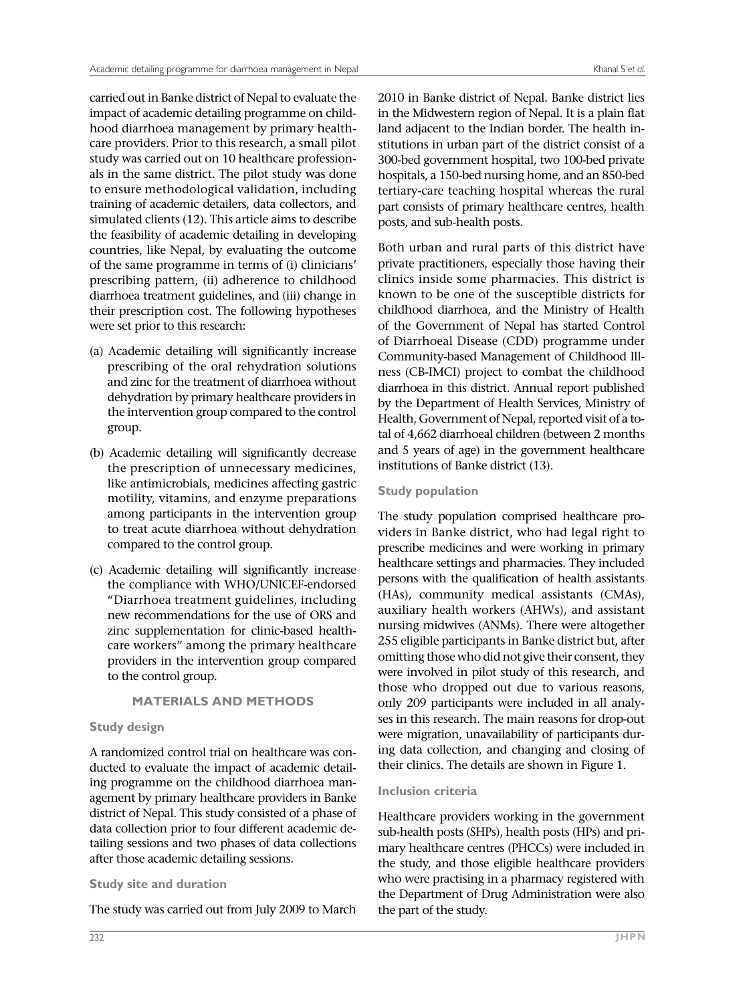carried out in Banke district of Nepal to evaluate the impact of academic detailing programme on childhood diarrhoea management by primary healthcare providers. Prior to this research, a small pilot study was carried out on 10 healthcare professionals in the same district. The pilot study was done to ensure methodological validation, including training of academic detailers, data collectors, and simulated clients (12). This article aims to describe the feasibility of academic detailing in developing countries, like Nepal, by evaluating the outcome of the same programme in terms of (i) clinicians' prescribing pattern, (ii) adherence to childhood diarrhoea treatment guidelines, and (iii) change in their prescription cost. The following hypotheses were set prior to this research:

- (a) Academic detailing will significantly increase prescribing of the oral rehydration solutions and zinc for the treatment of diarrhoea without dehydration by primary healthcare providers in the intervention group compared to the control group.
- (b) Academic detailing will significantly decrease the prescription of unnecessary medicines, like antimicrobials, medicines affecting gastric motility, vitamins, and enzyme preparations among participants in the intervention group to treat acute diarrhoea without dehydration compared to the control group.
- (c) Academic detailing will significantly increase the compliance with WHO/UNICEF-endorsed "Diarrhoea treatment guidelines, including new recommendations for the use of ORS and zinc supplementation for clinic-based healthcare workers" among the primary healthcare providers in the intervention group compared to the control group.

# **MATERIALS AND METHODS**

# **Study design**

A randomized control trial on healthcare was conducted to evaluate the impact of academic detailing programme on the childhood diarrhoea management by primary healthcare providers in Banke district of Nepal. This study consisted of a phase of data collection prior to four different academic detailing sessions and two phases of data collections after those academic detailing sessions.

# **Study site and duration**

The study was carried out from July 2009 to March

2010 in Banke district of Nepal. Banke district lies in the Midwestern region of Nepal. It is a plain flat land adjacent to the Indian border. The health institutions in urban part of the district consist of a 300-bed government hospital, two 100-bed private hospitals, a 150-bed nursing home, and an 850-bed tertiary-care teaching hospital whereas the rural part consists of primary healthcare centres, health posts, and sub-health posts.

Both urban and rural parts of this district have private practitioners, especially those having their clinics inside some pharmacies. This district is known to be one of the susceptible districts for childhood diarrhoea, and the Ministry of Health of the Government of Nepal has started Control of Diarrhoeal Disease (CDD) programme under Community-based Management of Childhood Illness (CB-IMCI) project to combat the childhood diarrhoea in this district. Annual report published by the Department of Health Services, Ministry of Health, Government of Nepal, reported visit of a total of 4,662 diarrhoeal children (between 2 months and 5 years of age) in the government healthcare institutions of Banke district (13).

# **Study population**

The study population comprised healthcare providers in Banke district, who had legal right to prescribe medicines and were working in primary healthcare settings and pharmacies. They included persons with the qualification of health assistants (HAs), community medical assistants (CMAs), auxiliary health workers (AHWs), and assistant nursing midwives (ANMs). There were altogether 255 eligible participants in Banke district but, after omitting those who did not give their consent, they were involved in pilot study of this research, and those who dropped out due to various reasons, only 209 participants were included in all analyses in this research. The main reasons for drop-out were migration, unavailability of participants during data collection, and changing and closing of their clinics. The details are shown in Figure 1.

# **Inclusion criteria**

Healthcare providers working in the government sub-health posts (SHPs), health posts (HPs) and primary healthcare centres (PHCCs) were included in the study, and those eligible healthcare providers who were practising in a pharmacy registered with the Department of Drug Administration were also the part of the study.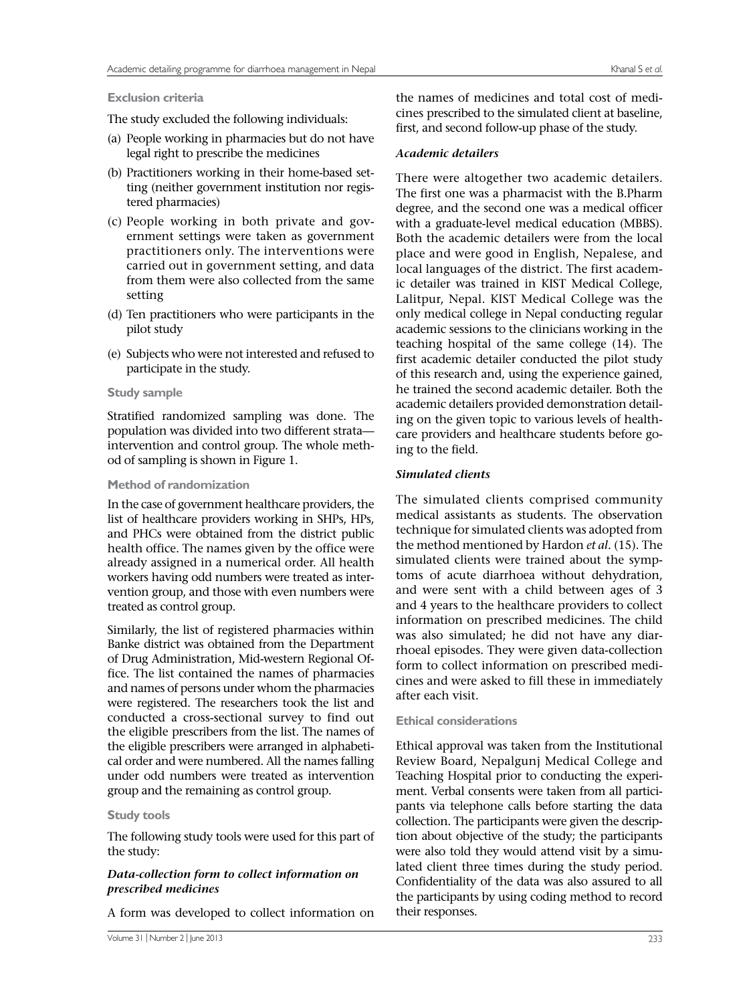#### **Exclusion criteria**

The study excluded the following individuals:

- (a) People working in pharmacies but do not have legal right to prescribe the medicines
- (b) Practitioners working in their home-based setting (neither government institution nor registered pharmacies)
- (c) People working in both private and government settings were taken as government practitioners only. The interventions were carried out in government setting, and data from them were also collected from the same setting
- (d) Ten practitioners who were participants in the pilot study
- (e) Subjects who were not interested and refused to participate in the study.

#### **Study sample**

Stratified randomized sampling was done. The population was divided into two different strata intervention and control group. The whole method of sampling is shown in Figure 1.

#### **Method of randomization**

In the case of government healthcare providers, the list of healthcare providers working in SHPs, HPs, and PHCs were obtained from the district public health office. The names given by the office were already assigned in a numerical order. All health workers having odd numbers were treated as intervention group, and those with even numbers were treated as control group.

Similarly, the list of registered pharmacies within Banke district was obtained from the Department of Drug Administration, Mid-western Regional Office. The list contained the names of pharmacies and names of persons under whom the pharmacies were registered. The researchers took the list and conducted a cross-sectional survey to find out the eligible prescribers from the list. The names of the eligible prescribers were arranged in alphabetical order and were numbered. All the names falling under odd numbers were treated as intervention group and the remaining as control group.

#### **Study tools**

The following study tools were used for this part of the study:

# **Data-collection form to collect information on prescribed medicines**

A form was developed to collect information on

the names of medicines and total cost of medicines prescribed to the simulated client at baseline, first, and second follow-up phase of the study.

# **Academic detailers**

There were altogether two academic detailers. The first one was a pharmacist with the B.Pharm degree, and the second one was a medical officer with a graduate-level medical education (MBBS). Both the academic detailers were from the local place and were good in English, Nepalese, and local languages of the district. The first academic detailer was trained in KIST Medical College, Lalitpur, Nepal. KIST Medical College was the only medical college in Nepal conducting regular academic sessions to the clinicians working in the teaching hospital of the same college (14). The first academic detailer conducted the pilot study of this research and, using the experience gained, he trained the second academic detailer. Both the academic detailers provided demonstration detailing on the given topic to various levels of healthcare providers and healthcare students before going to the field.

# **Simulated clients**

The simulated clients comprised community medical assistants as students. The observation technique for simulated clients was adopted from the method mentioned by Hardon *et al.* (15). The simulated clients were trained about the symptoms of acute diarrhoea without dehydration, and were sent with a child between ages of 3 and 4 years to the healthcare providers to collect information on prescribed medicines. The child was also simulated; he did not have any diarrhoeal episodes. They were given data-collection form to collect information on prescribed medicines and were asked to fill these in immediately after each visit.

#### **Ethical considerations**

Ethical approval was taken from the Institutional Review Board, Nepalgunj Medical College and Teaching Hospital prior to conducting the experiment. Verbal consents were taken from all participants via telephone calls before starting the data collection. The participants were given the description about objective of the study; the participants were also told they would attend visit by a simulated client three times during the study period. Confidentiality of the data was also assured to all the participants by using coding method to record their responses.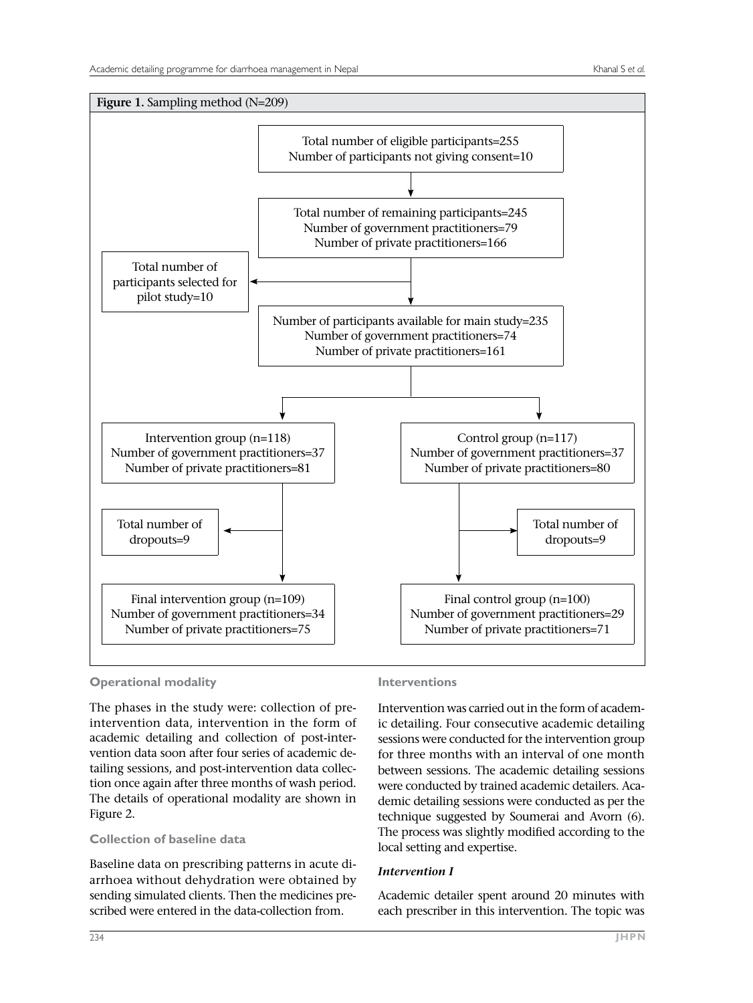

# **Operational modality**

The phases in the study were: collection of preintervention data, intervention in the form of academic detailing and collection of post-intervention data soon after four series of academic detailing sessions, and post-intervention data collection once again after three months of wash period. The details of operational modality are shown in Figure 2.

# **Collection of baseline data**

Baseline data on prescribing patterns in acute diarrhoea without dehydration were obtained by sending simulated clients. Then the medicines prescribed were entered in the data-collection from.

#### **Interventions**

Intervention was carried out in the form of academic detailing. Four consecutive academic detailing sessions were conducted for the intervention group for three months with an interval of one month between sessions. The academic detailing sessions were conducted by trained academic detailers. Academic detailing sessions were conducted as per the technique suggested by Soumerai and Avorn (6). The process was slightly modified according to the local setting and expertise.

#### **Intervention I**

Academic detailer spent around 20 minutes with each prescriber in this intervention. The topic was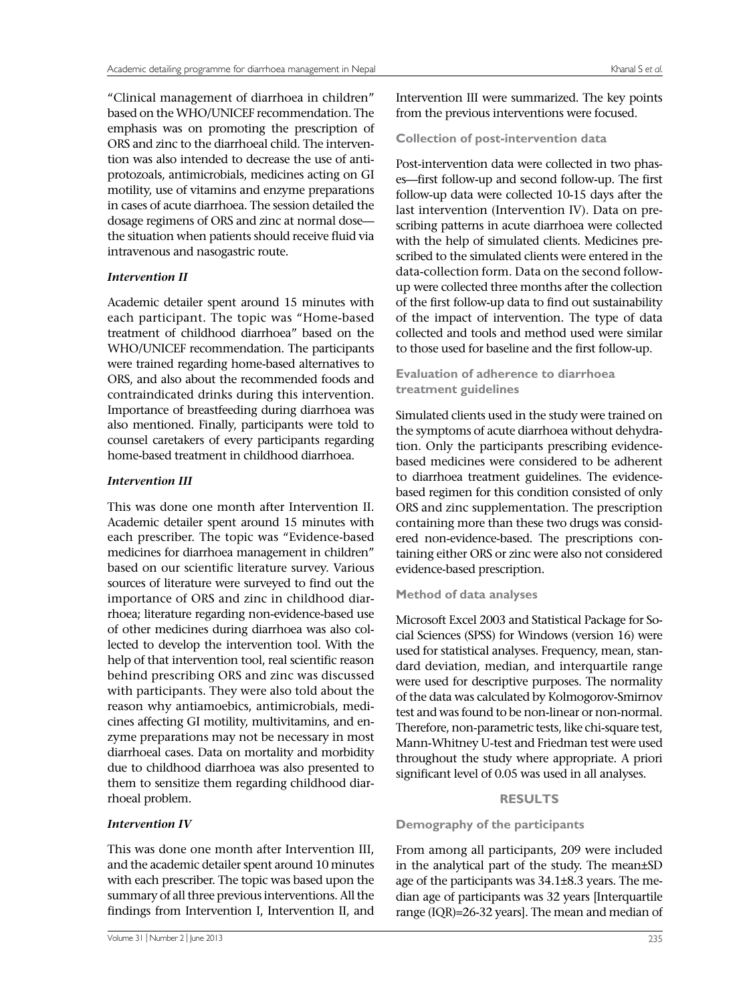"Clinical management of diarrhoea in children" based on the WHO/UNICEF recommendation. The emphasis was on promoting the prescription of ORS and zinc to the diarrhoeal child. The intervention was also intended to decrease the use of antiprotozoals, antimicrobials, medicines acting on GI motility, use of vitamins and enzyme preparations in cases of acute diarrhoea. The session detailed the dosage regimens of ORS and zinc at normal dose the situation when patients should receive fluid via intravenous and nasogastric route.

# **Intervention II**

Academic detailer spent around 15 minutes with each participant. The topic was "Home-based treatment of childhood diarrhoea" based on the WHO/UNICEF recommendation. The participants were trained regarding home-based alternatives to ORS, and also about the recommended foods and contraindicated drinks during this intervention. Importance of breastfeeding during diarrhoea was also mentioned. Finally, participants were told to counsel caretakers of every participants regarding home-based treatment in childhood diarrhoea.

# **Intervention III**

This was done one month after Intervention II. Academic detailer spent around 15 minutes with each prescriber. The topic was "Evidence-based medicines for diarrhoea management in children" based on our scientific literature survey. Various sources of literature were surveyed to find out the importance of ORS and zinc in childhood diarrhoea; literature regarding non-evidence-based use of other medicines during diarrhoea was also collected to develop the intervention tool. With the help of that intervention tool, real scientific reason behind prescribing ORS and zinc was discussed with participants. They were also told about the reason why antiamoebics, antimicrobials, medicines affecting GI motility, multivitamins, and enzyme preparations may not be necessary in most diarrhoeal cases. Data on mortality and morbidity due to childhood diarrhoea was also presented to them to sensitize them regarding childhood diarrhoeal problem.

# **Intervention IV**

This was done one month after Intervention III, and the academic detailer spent around 10 minutes with each prescriber. The topic was based upon the summary of all three previous interventions. All the findings from Intervention I, Intervention II, and Intervention III were summarized. The key points from the previous interventions were focused.

#### **Collection of post-intervention data**

Post-intervention data were collected in two phases—first follow-up and second follow-up. The first follow-up data were collected 10-15 days after the last intervention (Intervention IV). Data on prescribing patterns in acute diarrhoea were collected with the help of simulated clients. Medicines prescribed to the simulated clients were entered in the data-collection form. Data on the second followup were collected three months after the collection of the first follow-up data to find out sustainability of the impact of intervention. The type of data collected and tools and method used were similar to those used for baseline and the first follow-up.

# **Evaluation of adherence to diarrhoea treatment guidelines**

Simulated clients used in the study were trained on the symptoms of acute diarrhoea without dehydration. Only the participants prescribing evidencebased medicines were considered to be adherent to diarrhoea treatment guidelines. The evidencebased regimen for this condition consisted of only ORS and zinc supplementation. The prescription containing more than these two drugs was considered non-evidence-based. The prescriptions containing either ORS or zinc were also not considered evidence-based prescription.

#### **Method of data analyses**

Microsoft Excel 2003 and Statistical Package for Social Sciences (SPSS) for Windows (version 16) were used for statistical analyses. Frequency, mean, standard deviation, median, and interquartile range were used for descriptive purposes. The normality of the data was calculated by Kolmogorov-Smirnov test and was found to be non-linear or non-normal. Therefore, non-parametric tests, like chi-square test, Mann-Whitney U-test and Friedman test were used throughout the study where appropriate. A priori significant level of 0.05 was used in all analyses.

#### **RESULTS**

#### **Demography of the participants**

From among all participants, 209 were included in the analytical part of the study. The mean±SD age of the participants was 34.1±8.3 years. The median age of participants was 32 years [Interquartile range (IQR)=26-32 years]. The mean and median of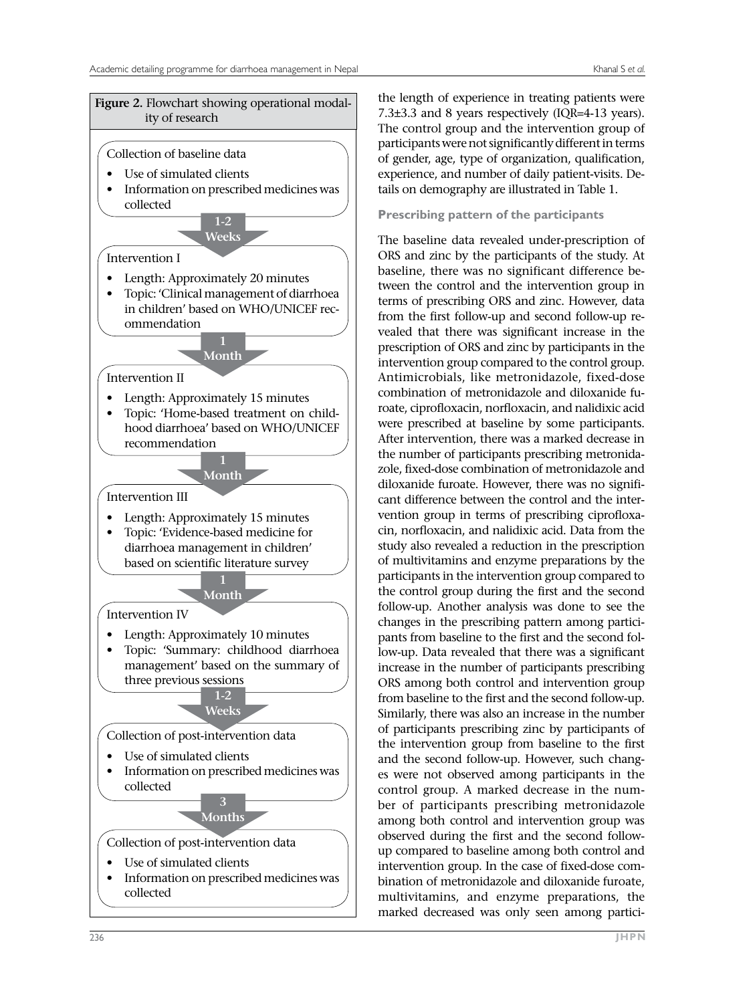

the length of experience in treating patients were 7.3±3.3 and 8 years respectively (IQR=4-13 years). The control group and the intervention group of participants were not significantly different in terms of gender, age, type of organization, qualification, experience, and number of daily patient-visits. Details on demography are illustrated in Table 1.

# **Prescribing pattern of the participants**

The baseline data revealed under-prescription of ORS and zinc by the participants of the study. At baseline, there was no significant difference between the control and the intervention group in terms of prescribing ORS and zinc. However, data from the first follow-up and second follow-up revealed that there was significant increase in the prescription of ORS and zinc by participants in the intervention group compared to the control group. Antimicrobials, like metronidazole, fixed-dose combination of metronidazole and diloxanide furoate, ciprofloxacin, norfloxacin, and nalidixic acid were prescribed at baseline by some participants. After intervention, there was a marked decrease in the number of participants prescribing metronidazole, fixed-dose combination of metronidazole and diloxanide furoate. However, there was no significant difference between the control and the intervention group in terms of prescribing ciprofloxacin, norfloxacin, and nalidixic acid. Data from the study also revealed a reduction in the prescription of multivitamins and enzyme preparations by the participants in the intervention group compared to the control group during the first and the second follow-up. Another analysis was done to see the changes in the prescribing pattern among participants from baseline to the first and the second follow-up. Data revealed that there was a significant increase in the number of participants prescribing ORS among both control and intervention group from baseline to the first and the second follow-up. Similarly, there was also an increase in the number of participants prescribing zinc by participants of the intervention group from baseline to the first and the second follow-up. However, such changes were not observed among participants in the control group. A marked decrease in the number of participants prescribing metronidazole among both control and intervention group was observed during the first and the second followup compared to baseline among both control and intervention group. In the case of fixed-dose combination of metronidazole and diloxanide furoate, multivitamins, and enzyme preparations, the marked decreased was only seen among partici-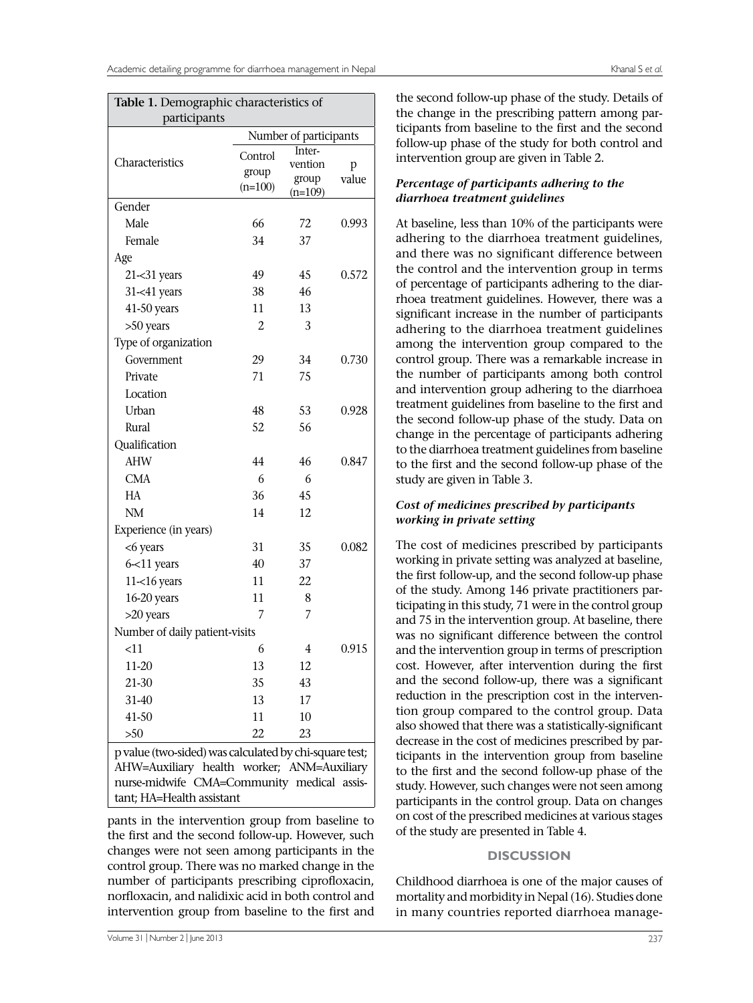| Table 1. Demographic characteristics of                                                              |                               |                                                                   |            |  |  |
|------------------------------------------------------------------------------------------------------|-------------------------------|-------------------------------------------------------------------|------------|--|--|
| participants                                                                                         |                               |                                                                   |            |  |  |
| Characteristics                                                                                      | Control<br>group<br>$(n=100)$ | Number of participants<br>Inter-<br>vention<br>group<br>$(n=109)$ | p<br>value |  |  |
| Gender                                                                                               |                               |                                                                   |            |  |  |
| Male                                                                                                 | 66                            | 72                                                                | 0.993      |  |  |
| Female                                                                                               | 34                            | 37                                                                |            |  |  |
| Age                                                                                                  |                               |                                                                   |            |  |  |
| $21 - 31$ years                                                                                      | 49                            | 45                                                                | 0.572      |  |  |
| $31 - 41$ years                                                                                      | 38                            | 46                                                                |            |  |  |
| 41-50 years                                                                                          | 11                            | 13                                                                |            |  |  |
| >50 years                                                                                            | 2                             | 3                                                                 |            |  |  |
| Type of organization                                                                                 |                               |                                                                   |            |  |  |
| Government                                                                                           | 29                            | 34                                                                | 0.730      |  |  |
| Private                                                                                              | 71                            | 75                                                                |            |  |  |
| Location                                                                                             |                               |                                                                   |            |  |  |
| Urban                                                                                                | 48                            | 53                                                                | 0.928      |  |  |
| Rural                                                                                                | 52                            | 56                                                                |            |  |  |
| Qualification                                                                                        |                               |                                                                   |            |  |  |
| <b>AHW</b>                                                                                           | 44                            | 46                                                                | 0.847      |  |  |
| <b>CMA</b>                                                                                           | 6                             | 6                                                                 |            |  |  |
| HА                                                                                                   | 36                            | 45                                                                |            |  |  |
| NΜ                                                                                                   | 14                            | 12                                                                |            |  |  |
| Experience (in years)                                                                                |                               |                                                                   |            |  |  |
| <6 years                                                                                             | 31                            | 35                                                                | 0.082      |  |  |
| $6 - 11$ years                                                                                       | 40                            | 37                                                                |            |  |  |
| $11 - 16$ years                                                                                      | 11                            | 22                                                                |            |  |  |
| 16-20 years                                                                                          | 11                            | 8                                                                 |            |  |  |
| >20 years                                                                                            | 7                             | 7                                                                 |            |  |  |
| Number of daily patient-visits                                                                       |                               |                                                                   |            |  |  |
| <11                                                                                                  | 6                             | 4                                                                 | 0.915      |  |  |
| 11-20                                                                                                | 13                            | 12                                                                |            |  |  |
| 21-30                                                                                                | 35                            | 43                                                                |            |  |  |
| 31-40                                                                                                | 13                            | 17                                                                |            |  |  |
| 41-50                                                                                                | 11                            | 10                                                                |            |  |  |
| $>50$                                                                                                | 22                            | 23                                                                |            |  |  |
| p value (two-sided) was calculated by chi-square test;<br>AHW=Auxiliary health worker; ANM=Auxiliary |                               |                                                                   |            |  |  |

nurse-midwife CMA=Community medical assistant; HA=Health assistant

pants in the intervention group from baseline to the first and the second follow-up. However, such changes were not seen among participants in the control group. There was no marked change in the number of participants prescribing ciprofloxacin, norfloxacin, and nalidixic acid in both control and intervention group from baseline to the first and

the second follow-up phase of the study. Details of the change in the prescribing pattern among participants from baseline to the first and the second follow-up phase of the study for both control and intervention group are given in Table 2.

# **Percentage of participants adhering to the diarrhoea treatment guidelines**

At baseline, less than 10% of the participants were adhering to the diarrhoea treatment guidelines, and there was no significant difference between the control and the intervention group in terms of percentage of participants adhering to the diarrhoea treatment guidelines. However, there was a significant increase in the number of participants adhering to the diarrhoea treatment guidelines among the intervention group compared to the control group. There was a remarkable increase in the number of participants among both control and intervention group adhering to the diarrhoea treatment guidelines from baseline to the first and the second follow-up phase of the study. Data on change in the percentage of participants adhering to the diarrhoea treatment guidelines from baseline to the first and the second follow-up phase of the study are given in Table 3.

# **Cost of medicines prescribed by participants working in private setting**

The cost of medicines prescribed by participants working in private setting was analyzed at baseline, the first follow-up, and the second follow-up phase of the study. Among 146 private practitioners participating in this study, 71 were in the control group and 75 in the intervention group. At baseline, there was no significant difference between the control and the intervention group in terms of prescription cost. However, after intervention during the first and the second follow-up, there was a significant reduction in the prescription cost in the intervention group compared to the control group. Data also showed that there was a statistically-significant decrease in the cost of medicines prescribed by participants in the intervention group from baseline to the first and the second follow-up phase of the study. However, such changes were not seen among participants in the control group. Data on changes on cost of the prescribed medicines at various stages of the study are presented in Table 4.

# **DISCUSSION**

Childhood diarrhoea is one of the major causes of mortality and morbidity in Nepal (16). Studies done in many countries reported diarrhoea manage-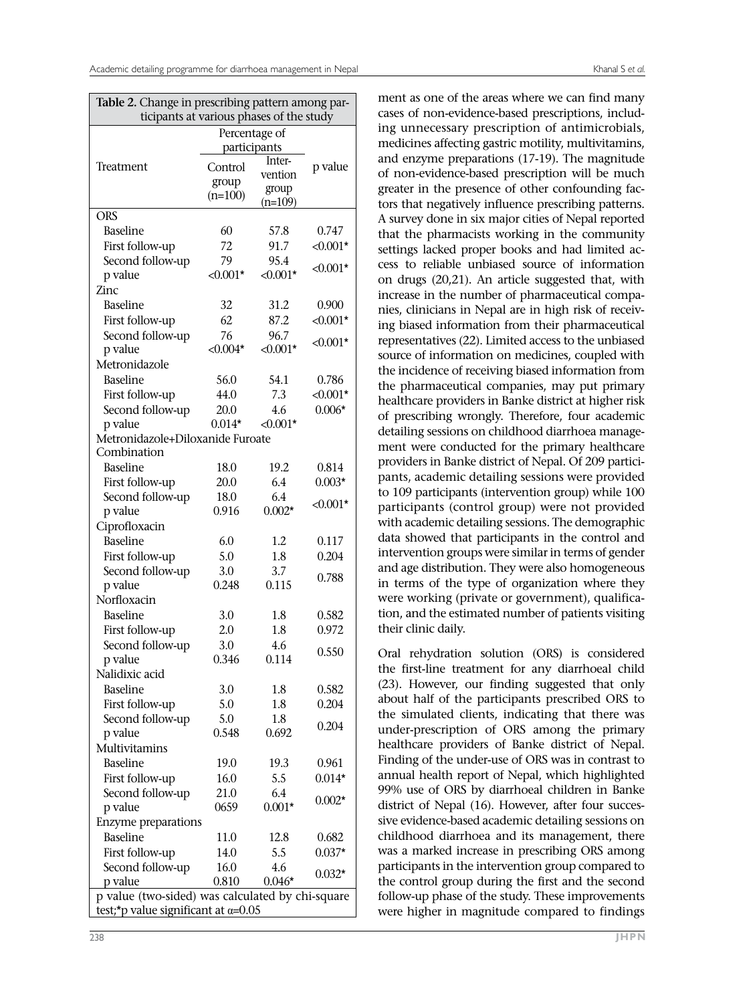| Table 2. Change in prescribing pattern among par-<br>ticipants at various phases of the study   |                               |                                         |            |  |
|-------------------------------------------------------------------------------------------------|-------------------------------|-----------------------------------------|------------|--|
|                                                                                                 | Percentage of<br>participants |                                         |            |  |
| Treatment                                                                                       | Control<br>group<br>$(n=100)$ | Inter-<br>vention<br>group<br>$(n=109)$ | p value    |  |
| <b>ORS</b>                                                                                      |                               |                                         |            |  |
| Baseline                                                                                        | 60                            | 57.8                                    | 0.747      |  |
| First follow-up                                                                                 | 72                            | 91.7                                    | $<0.001*$  |  |
| Second follow-up                                                                                | 79                            | 95.4                                    |            |  |
| p value                                                                                         | $< 0.001*$                    | $<0.001*$                               | $<0.001*$  |  |
| Zinc                                                                                            |                               |                                         |            |  |
| Baseline                                                                                        | 32                            | 31.2                                    | 0.900      |  |
| First follow-up                                                                                 | 62                            | 87.2                                    | $<0.001*$  |  |
| Second follow-up                                                                                | 76                            | 96.7                                    |            |  |
| p value                                                                                         | $<0.004*$                     | $<0.001*$                               | $< 0.001*$ |  |
| Metronidazole                                                                                   |                               |                                         |            |  |
| Baseline                                                                                        | 56.0                          | 54.1                                    | 0.786      |  |
| First follow-up                                                                                 | 44.0                          | 7.3                                     | $<0.001*$  |  |
| Second follow-up                                                                                | 20.0                          | 4.6                                     | $0.006*$   |  |
| p value                                                                                         | $0.014*$                      | $< 0.001*$                              |            |  |
| Metronidazole+Diloxanide Furoate                                                                |                               |                                         |            |  |
| Combination                                                                                     |                               |                                         |            |  |
| <b>Baseline</b>                                                                                 | 18.0                          | 19.2                                    | 0.814      |  |
| First follow-up                                                                                 | 20.0                          | 6.4                                     | $0.003*$   |  |
| Second follow-up                                                                                | 18.0                          | 6.4                                     |            |  |
| p value                                                                                         | 0.916                         | $0.002*$                                | $<0.001*$  |  |
| Ciprofloxacin                                                                                   |                               |                                         |            |  |
| Baseline                                                                                        | 6.0                           | 1.2                                     | 0.117      |  |
| First follow-up                                                                                 | 5.0                           | 1.8                                     | 0.204      |  |
|                                                                                                 | 3.0                           | 3.7                                     |            |  |
| Second follow-up<br>p value                                                                     | 0.248                         | 0.115                                   | 0.788      |  |
| Norfloxacin                                                                                     |                               |                                         |            |  |
| Baseline                                                                                        |                               | 1.8                                     | 0.582      |  |
|                                                                                                 | 3.0                           | 1.8                                     |            |  |
| First follow-up                                                                                 | 2.0                           |                                         | 0.972      |  |
| Second follow-up                                                                                | 3.0                           | 4.6                                     | 0.550      |  |
| p value                                                                                         | 0.346                         | 0.114                                   |            |  |
| Nalidixic acid                                                                                  |                               |                                         |            |  |
| Baseline                                                                                        | 3.0                           | 1.8                                     | 0.582      |  |
| First follow-up                                                                                 | 5.0                           | 1.8                                     | 0.204      |  |
| Second follow-up                                                                                | 5.0                           | 1.8                                     | 0.204      |  |
| p value                                                                                         | 0.548                         | 0.692                                   |            |  |
| Multivitamins                                                                                   |                               |                                         |            |  |
| <b>Baseline</b>                                                                                 | 19.0                          | 19.3                                    | 0.961      |  |
| First follow-up                                                                                 | 16.0                          | 5.5                                     | $0.014*$   |  |
| Second follow-up                                                                                | 21.0                          | 6.4                                     | $0.002*$   |  |
| p value                                                                                         | 0659                          | $0.001*$                                |            |  |
| Enzyme preparations                                                                             |                               |                                         |            |  |
| <b>Baseline</b>                                                                                 | 11.0                          | 12.8                                    | 0.682      |  |
| First follow-up                                                                                 | 14.0                          | 5.5                                     | $0.037*$   |  |
| Second follow-up                                                                                | 16.0                          | 4.6                                     | $0.032*$   |  |
| p value                                                                                         | 0.810                         | $0.046*$                                |            |  |
| p value (two-sided) was calculated by chi-square<br>test;*p value significant at $\alpha$ =0.05 |                               |                                         |            |  |

ment as one of the areas where we can find many cases of non-evidence-based prescriptions, including unnecessary prescription of antimicrobials, medicines affecting gastric motility, multivitamins, and enzyme preparations (17-19). The magnitude of non-evidence-based prescription will be much greater in the presence of other confounding factors that negatively influence prescribing patterns. A survey done in six major cities of Nepal reported that the pharmacists working in the community settings lacked proper books and had limited access to reliable unbiased source of information on drugs (20,21). An article suggested that, with increase in the number of pharmaceutical companies, clinicians in Nepal are in high risk of receiving biased information from their pharmaceutical representatives (22). Limited access to the unbiased source of information on medicines, coupled with the incidence of receiving biased information from the pharmaceutical companies, may put primary healthcare providers in Banke district at higher risk of prescribing wrongly. Therefore, four academic detailing sessions on childhood diarrhoea management were conducted for the primary healthcare providers in Banke district of Nepal. Of 209 participants, academic detailing sessions were provided to 109 participants (intervention group) while 100 participants (control group) were not provided with academic detailing sessions. The demographic data showed that participants in the control and intervention groups were similar in terms of gender and age distribution. They were also homogeneous in terms of the type of organization where they were working (private or government), qualification, and the estimated number of patients visiting their clinic daily.

Oral rehydration solution (ORS) is considered the first-line treatment for any diarrhoeal child (23). However, our finding suggested that only about half of the participants prescribed ORS to the simulated clients, indicating that there was under-prescription of ORS among the primary healthcare providers of Banke district of Nepal. Finding of the under-use of ORS was in contrast to annual health report of Nepal, which highlighted 99% use of ORS by diarrhoeal children in Banke district of Nepal (16). However, after four successive evidence-based academic detailing sessions on childhood diarrhoea and its management, there was a marked increase in prescribing ORS among participants in the intervention group compared to the control group during the first and the second follow-up phase of the study. These improvements were higher in magnitude compared to findings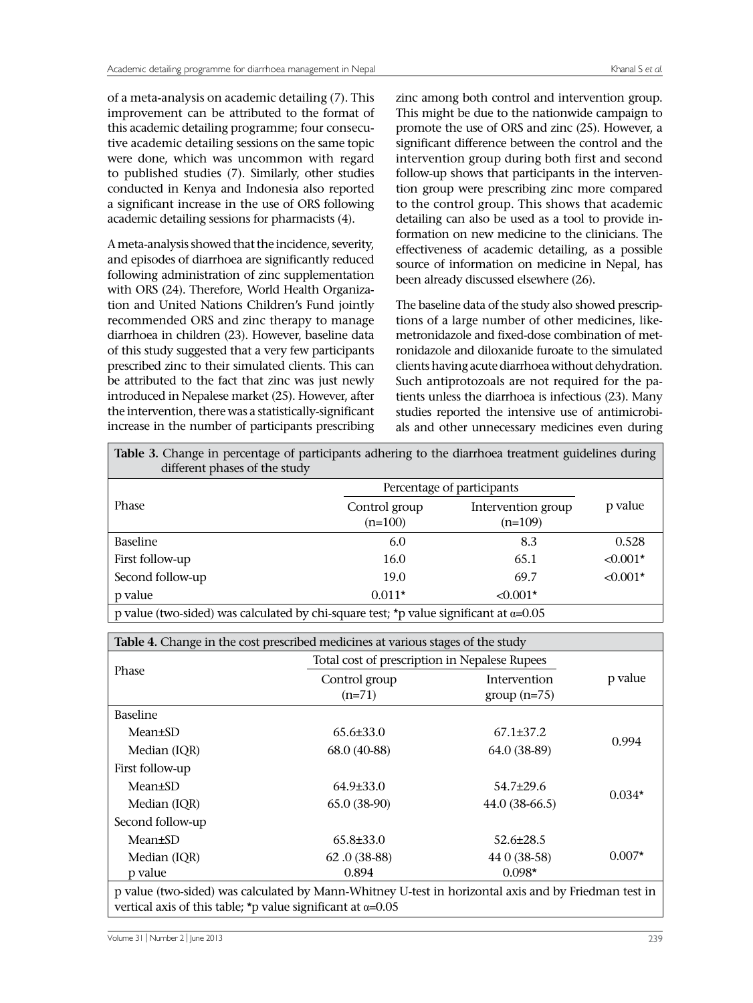of a meta-analysis on academic detailing (7). This improvement can be attributed to the format of this academic detailing programme; four consecutive academic detailing sessions on the same topic were done, which was uncommon with regard to published studies (7). Similarly, other studies conducted in Kenya and Indonesia also reported a significant increase in the use of ORS following academic detailing sessions for pharmacists (4).

A meta-analysis showed that the incidence, severity, and episodes of diarrhoea are significantly reduced following administration of zinc supplementation with ORS (24). Therefore, World Health Organization and United Nations Children's Fund jointly recommended ORS and zinc therapy to manage diarrhoea in children (23). However, baseline data of this study suggested that a very few participants prescribed zinc to their simulated clients. This can be attributed to the fact that zinc was just newly introduced in Nepalese market (25). However, after the intervention, there was a statistically-significant increase in the number of participants prescribing zinc among both control and intervention group. This might be due to the nationwide campaign to promote the use of ORS and zinc (25). However, a significant difference between the control and the intervention group during both first and second follow-up shows that participants in the intervention group were prescribing zinc more compared to the control group. This shows that academic detailing can also be used as a tool to provide information on new medicine to the clinicians. The effectiveness of academic detailing, as a possible source of information on medicine in Nepal, has been already discussed elsewhere (26).

The baseline data of the study also showed prescriptions of a large number of other medicines, likemetronidazole and fixed-dose combination of metronidazole and diloxanide furoate to the simulated clients having acute diarrhoea without dehydration. Such antiprotozoals are not required for the patients unless the diarrhoea is infectious (23). Many studies reported the intensive use of antimicrobials and other unnecessary medicines even during

| Table 3. Change in percentage of participants adhering to the diarrhoea treatment guidelines during<br>different phases of the study |                            |                                 |            |  |
|--------------------------------------------------------------------------------------------------------------------------------------|----------------------------|---------------------------------|------------|--|
|                                                                                                                                      |                            | Percentage of participants      |            |  |
| <b>Phase</b>                                                                                                                         | Control group<br>$(n=100)$ | Intervention group<br>$(n=109)$ | p value    |  |
| <b>Baseline</b>                                                                                                                      | 6.0                        | 8.3                             | 0.528      |  |
| First follow-up                                                                                                                      | 16.0                       | 65.1                            | $< 0.001*$ |  |
| Second follow-up                                                                                                                     | 19.0                       | 69.7                            | $< 0.001*$ |  |
| p value                                                                                                                              | $0.011*$                   | $< 0.001*$                      |            |  |
| p value (two-sided) was calculated by chi-square test; *p value significant at $\alpha$ =0.05                                        |                            |                                 |            |  |

| Table 4. Change in the cost prescribed medicines at various stages of the study                      |                                               |                 |          |  |
|------------------------------------------------------------------------------------------------------|-----------------------------------------------|-----------------|----------|--|
|                                                                                                      | Total cost of prescription in Nepalese Rupees |                 |          |  |
| Phase                                                                                                | Control group                                 | Intervention    | p value  |  |
|                                                                                                      | $(n=71)$                                      | $group(n=75)$   |          |  |
| <b>Baseline</b>                                                                                      |                                               |                 |          |  |
| Mean±SD                                                                                              | $65.6 \pm 33.0$                               | $67.1 \pm 37.2$ | 0.994    |  |
| Median (IQR)                                                                                         | 68.0 (40-88)                                  | 64.0 (38-89)    |          |  |
| First follow-up                                                                                      |                                               |                 |          |  |
| Mean±SD                                                                                              | $64.9 \pm 33.0$                               | 54.7±29.6       | $0.034*$ |  |
| Median (IQR)                                                                                         | 65.0 (38-90)                                  | $44.0(38-66.5)$ |          |  |
| Second follow-up                                                                                     |                                               |                 |          |  |
| Mean±SD                                                                                              | $65.8 \pm 33.0$                               | $52.6 \pm 28.5$ |          |  |
| Median (IQR)                                                                                         | $62.0(38-88)$                                 | 44 0 (38-58)    | $0.007*$ |  |
| p value                                                                                              | 0.894                                         | $0.098*$        |          |  |
| p value (two-sided) was calculated by Mann-Whitney U-test in horizontal axis and by Friedman test in |                                               |                 |          |  |

vertical axis of this table; \*p value significant at  $\alpha$ =0.05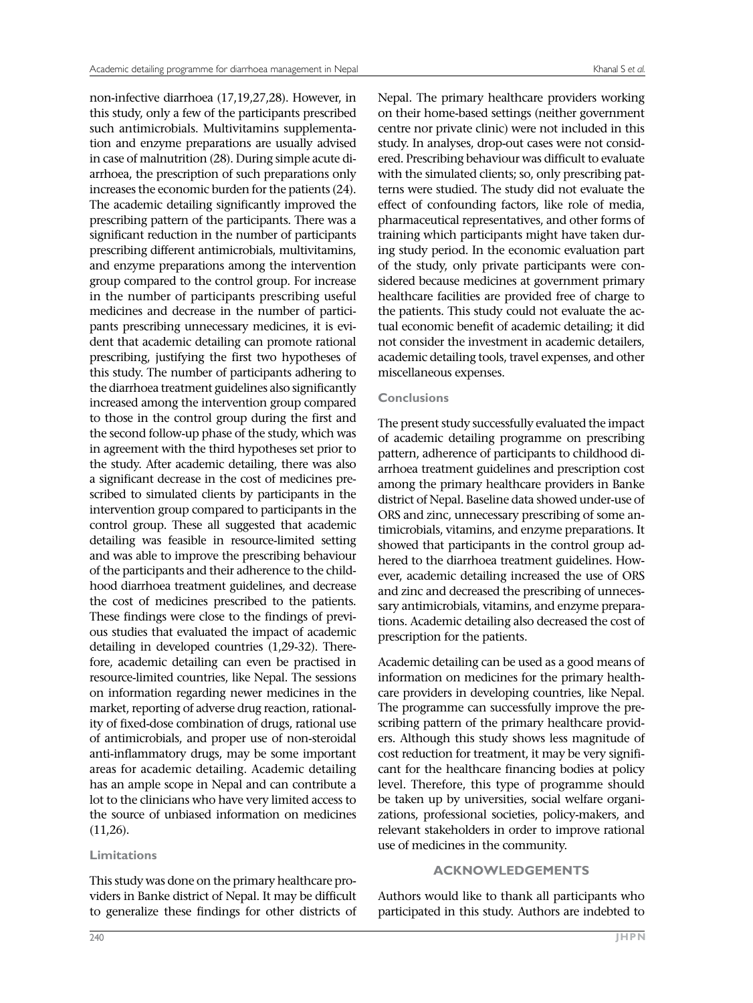non-infective diarrhoea (17,19,27,28). However, in this study, only a few of the participants prescribed such antimicrobials. Multivitamins supplementation and enzyme preparations are usually advised in case of malnutrition (28). During simple acute diarrhoea, the prescription of such preparations only increases the economic burden for the patients (24). The academic detailing significantly improved the prescribing pattern of the participants. There was a significant reduction in the number of participants prescribing different antimicrobials, multivitamins, and enzyme preparations among the intervention group compared to the control group. For increase in the number of participants prescribing useful medicines and decrease in the number of participants prescribing unnecessary medicines, it is evident that academic detailing can promote rational prescribing, justifying the first two hypotheses of this study. The number of participants adhering to the diarrhoea treatment guidelines also significantly increased among the intervention group compared to those in the control group during the first and the second follow-up phase of the study, which was in agreement with the third hypotheses set prior to the study. After academic detailing, there was also a significant decrease in the cost of medicines prescribed to simulated clients by participants in the intervention group compared to participants in the control group. These all suggested that academic detailing was feasible in resource-limited setting and was able to improve the prescribing behaviour of the participants and their adherence to the childhood diarrhoea treatment guidelines, and decrease the cost of medicines prescribed to the patients. These findings were close to the findings of previous studies that evaluated the impact of academic detailing in developed countries (1,29-32). Therefore, academic detailing can even be practised in resource-limited countries, like Nepal. The sessions on information regarding newer medicines in the market, reporting of adverse drug reaction, rationality of fixed-dose combination of drugs, rational use of antimicrobials, and proper use of non-steroidal anti-inflammatory drugs, may be some important areas for academic detailing. Academic detailing has an ample scope in Nepal and can contribute a lot to the clinicians who have very limited access to the source of unbiased information on medicines (11,26).

#### **Limitations**

This study was done on the primary healthcare providers in Banke district of Nepal. It may be difficult to generalize these findings for other districts of Nepal. The primary healthcare providers working on their home-based settings (neither government centre nor private clinic) were not included in this study. In analyses, drop-out cases were not considered. Prescribing behaviour was difficult to evaluate with the simulated clients; so, only prescribing patterns were studied. The study did not evaluate the effect of confounding factors, like role of media, pharmaceutical representatives, and other forms of training which participants might have taken during study period. In the economic evaluation part of the study, only private participants were considered because medicines at government primary healthcare facilities are provided free of charge to the patients. This study could not evaluate the actual economic benefit of academic detailing; it did not consider the investment in academic detailers, academic detailing tools, travel expenses, and other miscellaneous expenses.

#### **Conclusions**

The present study successfully evaluated the impact of academic detailing programme on prescribing pattern, adherence of participants to childhood diarrhoea treatment guidelines and prescription cost among the primary healthcare providers in Banke district of Nepal. Baseline data showed under-use of ORS and zinc, unnecessary prescribing of some antimicrobials, vitamins, and enzyme preparations. It showed that participants in the control group adhered to the diarrhoea treatment guidelines. However, academic detailing increased the use of ORS and zinc and decreased the prescribing of unnecessary antimicrobials, vitamins, and enzyme preparations. Academic detailing also decreased the cost of prescription for the patients.

Academic detailing can be used as a good means of information on medicines for the primary healthcare providers in developing countries, like Nepal. The programme can successfully improve the prescribing pattern of the primary healthcare providers. Although this study shows less magnitude of cost reduction for treatment, it may be very significant for the healthcare financing bodies at policy level. Therefore, this type of programme should be taken up by universities, social welfare organizations, professional societies, policy-makers, and relevant stakeholders in order to improve rational use of medicines in the community.

# **ACKNOWLEDGEMENTS**

Authors would like to thank all participants who participated in this study. Authors are indebted to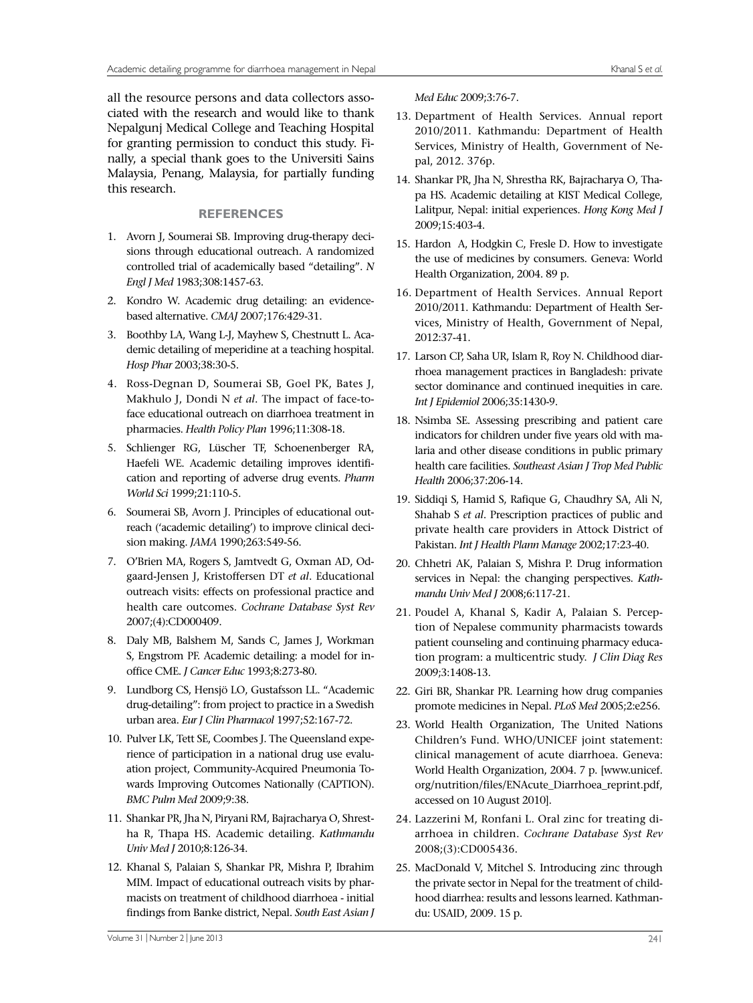all the resource persons and data collectors associated with the research and would like to thank Nepalgunj Medical College and Teaching Hospital for granting permission to conduct this study. Finally, a special thank goes to the Universiti Sains Malaysia, Penang, Malaysia, for partially funding this research.

#### **REFERENCES**

- 1. Avorn J, Soumerai SB. Improving drug-therapy decisions through educational outreach. A randomized controlled trial of academically based "detailing". *N Engl J Med* 1983;308:1457-63.
- 2. Kondro W. Academic drug detailing: an evidencebased alternative. *CMAJ* 2007;176:429-31.
- 3. Boothby LA, Wang L-J, Mayhew S, Chestnutt L. Academic detailing of meperidine at a teaching hospital. *Hosp Phar* 2003;38:30-5.
- 4. Ross-Degnan D, Soumerai SB, Goel PK, Bates J, Makhulo J, Dondi N *et al*. The impact of face-toface educational outreach on diarrhoea treatment in pharmacies. *Health Policy Plan* 1996;11:308-18.
- 5. Schlienger RG, Lüscher TF, Schoenenberger RA, Haefeli WE. Academic detailing improves identification and reporting of adverse drug events. *Pharm World Sci* 1999;21:110-5.
- 6. Soumerai SB, Avorn J. Principles of educational outreach ('academic detailing') to improve clinical decision making. *JAMA* 1990;263:549-56.
- 7. O'Brien MA, Rogers S, Jamtvedt G, Oxman AD, Odgaard-Jensen J, Kristoffersen DT *et al*. Educational outreach visits: effects on professional practice and health care outcomes. *Cochrane Database Syst Rev* 2007;(4):CD000409.
- 8. Daly MB, Balshem M, Sands C, James J, Workman S, Engstrom PF. Academic detailing: a model for inoffice CME. *J Cancer Educ* 1993;8:273-80.
- 9. Lundborg CS, Hensjö LO, Gustafsson LL. "Academic drug-detailing": from project to practice in a Swedish urban area. *Eur J Clin Pharmacol* 1997;52:167-72.
- 10. Pulver LK, Tett SE, Coombes J. The Queensland experience of participation in a national drug use evaluation project, Community-Acquired Pneumonia Towards Improving Outcomes Nationally (CAPTION). *BMC Pulm Med* 2009;9:38.
- 11. Shankar PR, Jha N, Piryani RM, Bajracharya O, Shrestha R, Thapa HS. Academic detailing. *Kathmandu Univ Med J* 2010;8:126-34.
- 12. Khanal S, Palaian S, Shankar PR, Mishra P, Ibrahim MIM. Impact of educational outreach visits by pharmacists on treatment of childhood diarrhoea - initial findings from Banke district, Nepal. *South East Asian J*

*Med Educ* 2009;3:76-7.

- 13. Department of Health Services. Annual report 2010/2011. Kathmandu: Department of Health Services, Ministry of Health, Government of Nepal, 2012. 376p.
- 14. Shankar PR, Jha N, Shrestha RK, Bajracharya O, Thapa HS. Academic detailing at KIST Medical College, Lalitpur, Nepal: initial experiences. *Hong Kong Med J* 2009;15:403-4.
- 15. Hardon A, Hodgkin C, Fresle D. How to investigate the use of medicines by consumers. Geneva: World Health Organization, 2004. 89 p.
- 16. Department of Health Services. Annual Report 2010/2011. Kathmandu: Department of Health Services, Ministry of Health, Government of Nepal, 2012:37-41.
- 17. Larson CP, Saha UR, Islam R, Roy N. Childhood diarrhoea management practices in Bangladesh: private sector dominance and continued inequities in care. *Int J Epidemiol* 2006;35:1430-9.
- 18. Nsimba SE. Assessing prescribing and patient care indicators for children under five years old with malaria and other disease conditions in public primary health care facilities. *Southeast Asian J Trop Med Public Health* 2006;37:206-14.
- 19. Siddiqi S, Hamid S, Rafique G, Chaudhry SA, Ali N, Shahab S *et al*. Prescription practices of public and private health care providers in Attock District of Pakistan. *Int J Health Plann Manage* 2002;17:23-40.
- 20. Chhetri AK, Palaian S, Mishra P. Drug information services in Nepal: the changing perspectives. *Kathmandu Univ Med J* 2008;6:117-21.
- 21. Poudel A, Khanal S, Kadir A, Palaian S. Perception of Nepalese community pharmacists towards patient counseling and continuing pharmacy education program: a multicentric study. *J Clin Diag Res*  2009;3:1408-13.
- 22. Giri BR, Shankar PR. Learning how drug companies promote medicines in Nepal. *PLoS Med* 2005;2:e256.
- 23. World Health Organization, The United Nations Children's Fund. WHO/UNICEF joint statement: clinical management of acute diarrhoea. Geneva: World Health Organization, 2004. 7 p. [www.unicef. org/nutrition/files/ENAcute\_Diarrhoea\_reprint.pdf, accessed on 10 August 2010].
- 24. Lazzerini M, Ronfani L. Oral zinc for treating diarrhoea in children. *Cochrane Database Syst Rev* 2008;(3):CD005436.
- 25. MacDonald V, Mitchel S. Introducing zinc through the private sector in Nepal for the treatment of childhood diarrhea: results and lessons learned. Kathmandu: USAID, 2009. 15 p.